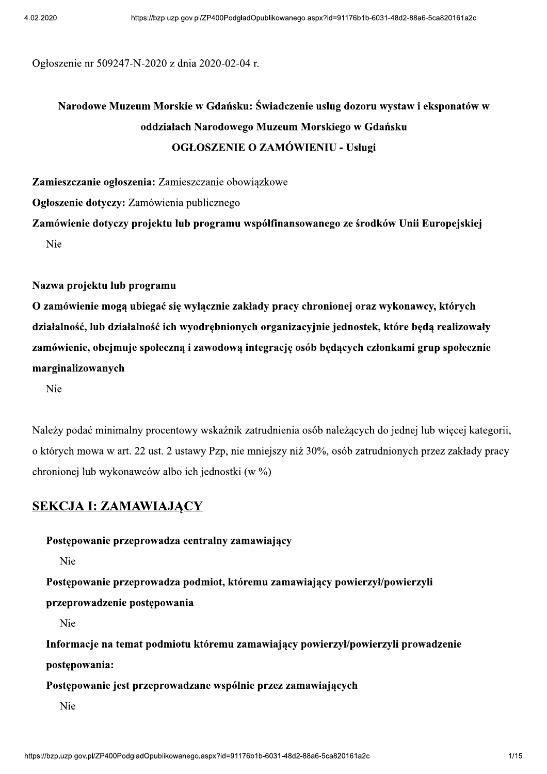Ogłoszenie nr 509247-N-2020 z dnia 2020-02-04 r.

# Narodowe Muzeum Morskie w Gdańsku: Świadczenie usług dozoru wystaw i eksponatów w oddziałach Narodowego Muzeum Morskiego w Gdańsku **OGŁOSZENIE O ZAMÓWIENIU - Usługi**

Zamieszczanie ogłoszenia: Zamieszczanie obowiązkowe

Ogłoszenie dotyczy: Zamówienia publicznego

Zamówienie dotyczy projektu lub programu współfinansowanego ze środków Unii Europejskiej Nie

Nazwa projektu lub programu

O zamówienie mogą ubiegać się wyłącznie zakłady pracy chronionej oraz wykonawcy, których działalność, lub działalność ich wyodrębnionych organizacyjnie jednostek, które będą realizowały zamówienie, obejmuje społeczna i zawodowa integracje osób bedacych członkami grup społecznie marginalizowanych

Nie

Należy podać minimalny procentowy wskaźnik zatrudnienia osób należacych do jednej lub wiecej kategorii. o których mowa w art. 22 ust. 2 ustawy Pzp, nie mniejszy niż 30%, osób zatrudnionych przez zakłady pracy chronionej lub wykonawców albo ich jednostki (w %)

#### **SEKCJA I: ZAMAWIAJĄCY**

Postępowanie przeprowadza centralny zamawiający

Nie

Postępowanie przeprowadza podmiot, któremu zamawiający powierzył/powierzyli

przeprowadzenie postępowania

Nie

Informacje na temat podmiotu któremu zamawiający powierzył/powierzyli prowadzenie postępowania:

Postępowanie jest przeprowadzane wspólnie przez zamawiających

Nie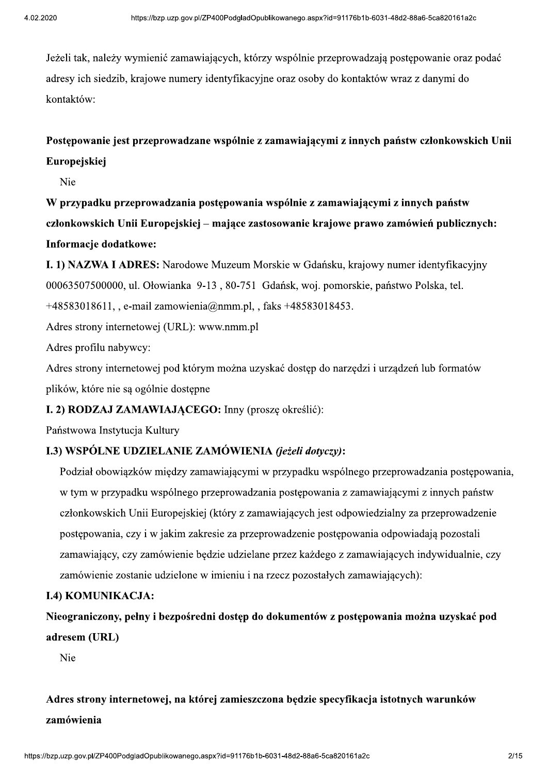Jeżeli tak, należy wymienić zamawiających, którzy wspólnie przeprowadzają postępowanie oraz podać adresy ich siedzib, krajowe numery identyfikacyjne oraz osoby do kontaktów wraz z danymi do kontaktów:

# Postępowanie jest przeprowadzane wspólnie z zamawiającymi z innych państw członkowskich Unii Europejskiej

Nie

W przypadku przeprowadzania postępowania wspólnie z zamawiającymi z innych państw członkowskich Unii Europejskiej – mające zastosowanie krajowe prawo zamówień publicznych: Informacje dodatkowe:

I. 1) NAZWA I ADRES: Narodowe Muzeum Morskie w Gdańsku, krajowy numer identyfikacyjny 00063507500000, ul. Ołowianka 9-13, 80-751 Gdańsk, woj. pomorskie, państwo Polska, tel. +48583018611, e-mail zamowienia@nmm.pl, , faks +48583018453.

Adres strony internetowej (URL): www.nmm.pl

Adres profilu nabywcy:

Adres strony internetowej pod którym można uzyskać dostep do narzedzi i urzadzeń lub formatów plików, które nie są ogólnie dostępne

#### I. 2) RODZAJ ZAMAWIAJĄCEGO: Inny (proszę określić):

Państwowa Instytucja Kultury

## I.3) WSPÓLNE UDZIELANIE ZAMÓWIENIA (jeżeli dotyczy):

Podział obowiązków między zamawiającymi w przypadku wspólnego przeprowadzania postępowania, w tym w przypadku wspólnego przeprowadzania postępowania z zamawiającymi z innych państw członkowskich Unii Europejskiej (który z zamawiających jest odpowiedzialny za przeprowadzenie postępowania, czy i w jakim zakresie za przeprowadzenie postępowania odpowiadają pozostali zamawiający, czy zamówienie będzie udzielane przez każdego z zamawiających indywidualnie, czy zamówienie zostanie udzielone w imieniu i na rzecz pozostałych zamawiających):

#### **I.4) KOMUNIKACJA:**

Nieograniczony, pełny i bezpośredni dostęp do dokumentów z postępowania można uzyskać pod adresem (URL)

Nie

# Adres strony internetowej, na której zamieszczona będzie specyfikacja istotnych warunków zamówienia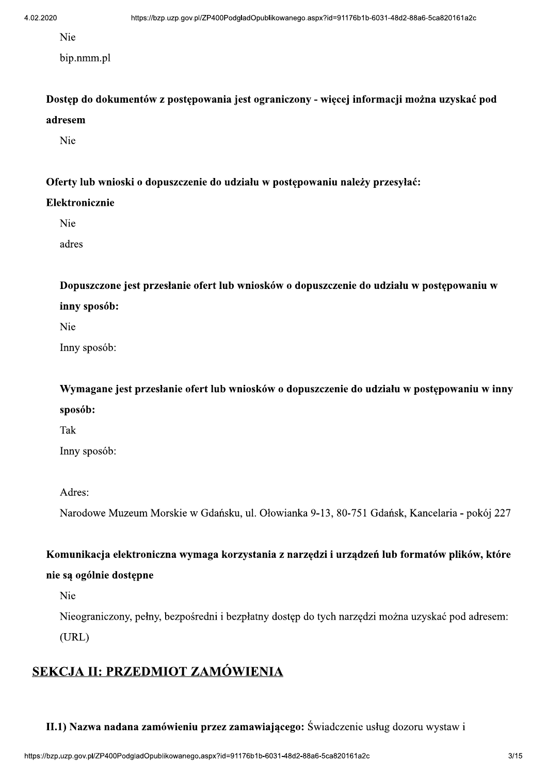Nie

bip.nmm.pl

Dostęp do dokumentów z postępowania jest ograniczony - więcej informacji można uzyskać pod adresem

Nie

Oferty lub wnioski o dopuszczenie do udziału w postępowaniu należy przesyłać:

#### Elektronicznie

Nie

adres

Dopuszczone jest przesłanie ofert lub wniosków o dopuszczenie do udziału w postępowaniu w inny sposób:

Nie

Inny sposób:

Wymagane jest przesłanie ofert lub wniosków o dopuszczenie do udziału w postępowaniu w inny sposób:

Tak

Inny sposób:

Adres:

Narodowe Muzeum Morskie w Gdańsku, ul. Ołowianka 9-13, 80-751 Gdańsk, Kancelaria - pokój 227

Komunikacja elektroniczna wymaga korzystania z narzędzi i urządzeń lub formatów plików, które

#### nie są ogólnie dostępne

Nie

Nieograniczony, pełny, bezpośredni i bezpłatny dostęp do tych narzędzi można uzyskać pod adresem:  $(URL)$ 

# SEKCJA II: PRZEDMIOT ZAMÓWIENIA

II.1) Nazwa nadana zamówieniu przez zamawiającego: Świadczenie usług dozoru wystaw i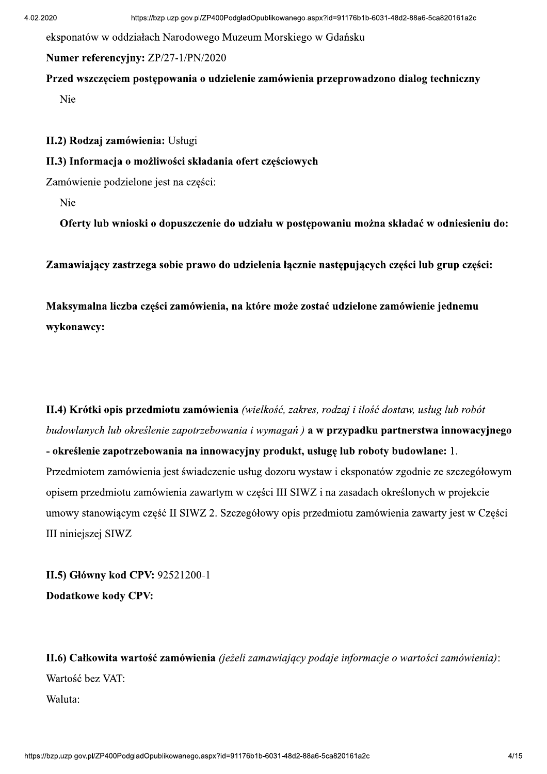eksponatów w oddziałach Narodowego Muzeum Morskiego w Gdańsku

#### Numer referencyjny: ZP/27-1/PN/2020

Przed wszczęciem postępowania o udzielenie zamówienia przeprowadzono dialog techniczny

Nie

II.2) Rodzaj zamówienia: Usługi

#### II.3) Informacja o możliwości składania ofert częściowych

Zamówienie podzielone jest na części:

Nie

Oferty lub wnioski o dopuszczenie do udziału w postępowaniu można składać w odniesieniu do:

Zamawiający zastrzega sobie prawo do udzielenia łącznie następujących części lub grup części:

Maksymalna liczba części zamówienia, na które może zostać udzielone zamówienie jednemu wykonawcy:

II.4) Krótki opis przedmiotu zamówienia (wielkość, zakres, rodzaj i ilość dostaw, usług lub robót budowlanych lub określenie zapotrzebowania i wymagań) **a w przypadku partnerstwa innowacyjnego** - określenie zapotrzebowania na innowacyjny produkt, usługę lub roboty budowlane: 1. Przedmiotem zamówienia jest świadczenie usług dozoru wystaw i eksponatów zgodnie ze szczegółowym opisem przedmiotu zamówienia zawartym w części III SIWZ i na zasadach określonych w projekcie umowy stanowiącym część II SIWZ 2. Szczegółowy opis przedmiotu zamówienia zawarty jest w Części III niniejszej SIWZ

II.5) Główny kod CPV: 92521200-1 **Dodatkowe kody CPV:** 

II.6) Całkowita wartość zamówienia (jeżeli zamawiający podaje informacje o wartości zamówienia): Wartość bez VAT: Waluta: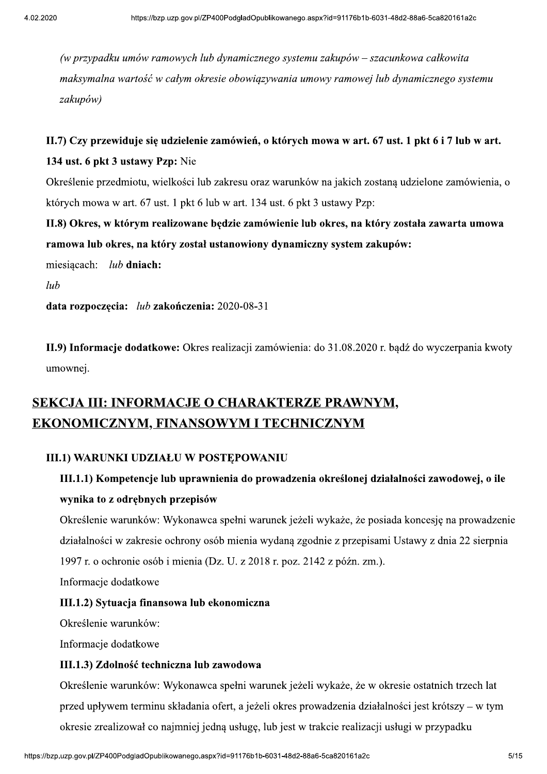(w przypadku umów ramowych lub dynamicznego systemu zakupów – szacunkowa całkowita maksymalna wartość w całym okresie obowiazywania umowy ramowej lub dynamicznego systemu zakupów)

# II.7) Czy przewiduje się udzielenie zamówień, o których mowa w art. 67 ust. 1 pkt 6 i 7 lub w art. 134 ust. 6 pkt 3 ustawy Pzp: Nie

Określenie przedmiotu, wielkości lub zakresu oraz warunków na jakich zostaną udzielone zamówienia, o których mowa w art. 67 ust. 1 pkt 6 lub w art. 134 ust. 6 pkt 3 ustawy Pzp:

II.8) Okres, w którym realizowane będzie zamówienie lub okres, na który została zawarta umowa ramowa lub okres, na który został ustanowiony dynamiczny system zakupów:

miesiącach: lub dniach:

 $lub$ 

data rozpoczęcia: lub zakończenia: 2020-08-31

II.9) Informacie dodatkowe: Okres realizacji zamówienia: do 31.08.2020 r. badź do wyczerpania kwoty umownei.

# SEKCJA III: INFORMACJE O CHARAKTERZE PRAWNYM, **EKONOMICZNYM, FINANSOWYM I TECHNICZNYM**

#### **III.1) WARUNKI UDZIAŁU W POSTEPOWANIU**

# III.1.1) Kompetencje lub uprawnienia do prowadzenia określonej działalności zawodowej, o ile wynika to z odrębnych przepisów

Określenie warunków: Wykonawca spełni warunek jeżeli wykaże, że posiada koncesję na prowadzenie działalności w zakresie ochrony osób mienia wydaną zgodnie z przepisami Ustawy z dnia 22 sierpnia 1997 r. o ochronie osób i mienia (Dz. U. z 2018 r. poz. 2142 z późn. zm.).

Informacje dodatkowe

#### III.1.2) Sytuacja finansowa lub ekonomiczna

Określenie warunków:

Informacje dodatkowe

#### III.1.3) Zdolność techniczna lub zawodowa

Określenie warunków: Wykonawca spełni warunek jeżeli wykaże, że w okresie ostatnich trzech lat przed upływem terminu składania ofert, a jeżeli okres prowadzenia działalności jest krótszy – w tym okresie zrealizował co najmniej jedną usługę, lub jest w trakcie realizacji usługi w przypadku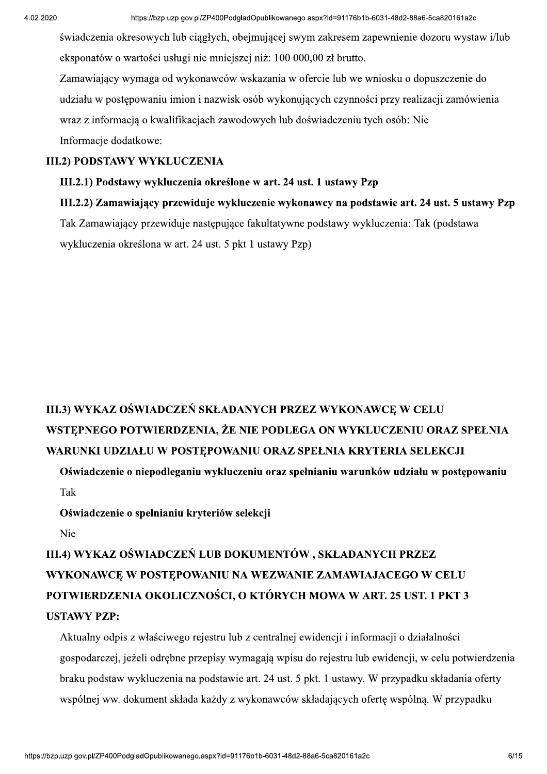świadczenia okresowych lub ciągłych, obejmującej swym zakresem zapewnienie dozoru wystaw i/lub eksponatów o wartości usługi nie mniejszej niż: 100 000,00 zł brutto.

Zamawiający wymaga od wykonawców wskazania w ofercie lub we wniosku o dopuszczenie do udziału w postępowaniu imion i nazwisk osób wykonujących czynności przy realizacji zamówienia wraz z informacją o kwalifikacjąch zawodowych lub doświadczeniu tych osób: Nie Informacje dodatkowe:

#### **III.2) PODSTAWY WYKLUCZENIA**

#### III.2.1) Podstawy wykluczenia określone w art. 24 ust. 1 ustawy Pzp

III.2.2) Zamawiający przewiduje wykluczenie wykonawcy na podstawie art. 24 ust. 5 ustawy Pzp Tak Zamawiający przewiduje następujące fakultatywne podstawy wykluczenia: Tak (podstawa wykluczenia określona w art. 24 ust. 5 pkt 1 ustawy Pzp)

# III.3) WYKAZ OŚWIADCZEŃ SKŁADANYCH PRZEZ WYKONAWCE W CELU WSTEPNEGO POTWIERDZENIA, ŻE NIE PODLEGA ON WYKLUCZENIU ORAZ SPEŁNIA WARUNKI UDZIAŁU W POSTEPOWANIU ORAZ SPEŁNIA KRYTERIA SELEKCJI

Oświadczenie o niepodleganiu wykluczeniu oraz spełnianiu warunków udziału w postepowaniu Tak

Oświadczenie o spełnianiu kryteriów selekcii

Nie

III.4) WYKAZ OŚWIADCZEŃ LUB DOKUMENTÓW, SKŁADANYCH PRZEZ WYKONAWCE W POSTEPOWANIU NA WEZWANIE ZAMAWIAJACEGO W CELU POTWIERDZENIA OKOLICZNOŚCI, O KTÓRYCH MOWA W ART. 25 UST. 1 PKT 3 **USTAWY PZP:** 

Aktualny odpis z właściwego rejestru lub z centralnej ewidencji i informacji o działalności gospodarczej, jeżeli odrębne przepisy wymagają wpisu do rejestru lub ewidencji, w celu potwierdzenia braku podstaw wykluczenia na podstawie art. 24 ust. 5 pkt. 1 ustawy. W przypadku składania oferty wspólnej ww. dokument składa każdy z wykonawców składających oferte wspólna. W przypadku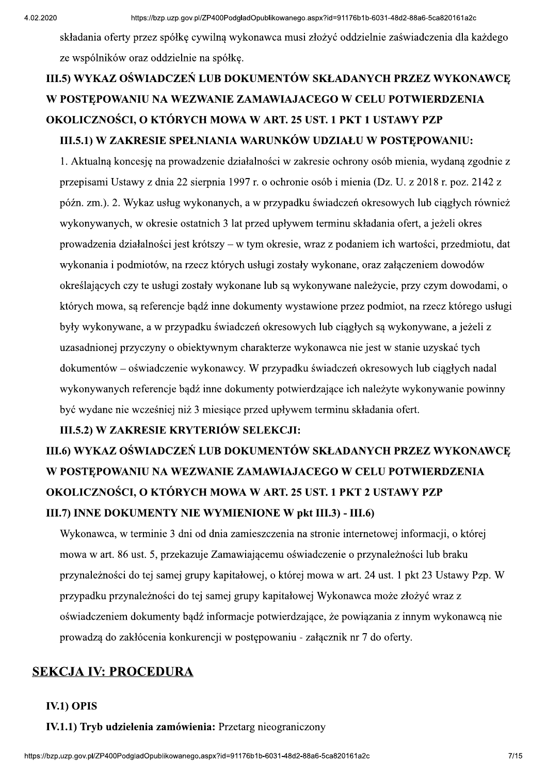składania oferty przez spółke cywilna wykonawca musi złożyć oddzielnie zaświadczenia dla każdego ze wspólników oraz oddzielnie na spółke.

# III.5) WYKAZ OŚWIADCZEŃ LUB DOKUMENTÓW SKŁADANYCH PRZEZ WYKONAWCE W POSTEPOWANIU NA WEZWANIE ZAMAWIAJACEGO W CELU POTWIERDZENIA OKOLICZNOŚCI, O KTÓRYCH MOWA W ART. 25 UST. 1 PKT 1 USTAWY PZP III.5.1) W ZAKRESIE SPEŁNIANIA WARUNKÓW UDZIAŁU W POSTEPOWANIU:

1. Aktualną koncesię na prowadzenie działalności w zakresie ochrony osób mienia, wydaną zgodnie z przepisami Ustawy z dnia 22 sierpnia 1997 r. o ochronie osób i mienia (Dz. U. z 2018 r. poz. 2142 z późn. zm.). 2. Wykaz usług wykonanych, a w przypadku świadczeń okresowych lub ciągłych również wykonywanych, w okresie ostatnich 3 lat przed upływem terminu składania ofert, a jeżeli okres prowadzenia działalności jest krótszy – w tym okresie, wraz z podaniem ich wartości, przedmiotu, dat wykonania i podmiotów, na rzecz których usługi zostały wykonane, oraz załączeniem dowodów określających czy te usługi zostały wykonane lub są wykonywane należycie, przy czym dowodami, o których mowa, są referencje bądź inne dokumenty wystawione przez podmiot, na rzecz którego usługi były wykonywane, a w przypadku świadczeń okresowych lub ciągłych są wykonywane, a jeżeli z uzasadnionej przyczyny o obiektywnym charakterze wykonawca nie jest w stanie uzyskać tych dokumentów – oświadczenie wykonawcy. W przypadku świadczeń okresowych lub ciągłych nadal wykonywanych referencje badź inne dokumenty potwierdzające ich należyte wykonywanie powinny być wydane nie wcześniej niż 3 miesiące przed upływem terminu składania ofert.

#### III.5.2) W ZAKRESIE KRYTERIÓW SELEKCJI:

# III.6) WYKAZ OŚWIADCZEŃ LUB DOKUMENTÓW SKŁADANYCH PRZEZ WYKONAWCE W POSTEPOWANIU NA WEZWANIE ZAMAWIAJACEGO W CELU POTWIERDZENIA OKOLICZNOŚCI, O KTÓRYCH MOWA W ART. 25 UST. 1 PKT 2 USTAWY PZP III.7) INNE DOKUMENTY NIE WYMIENIONE W pkt III.3) - III.6)

Wykonawca, w terminie 3 dni od dnia zamieszczenia na stronie internetowej informacji, o której mowa w art. 86 ust. 5, przekazuje Zamawiającemu oświadczenie o przynależności lub braku przynależności do tej samej grupy kapitałowej, o której mowa w art. 24 ust. 1 pkt 23 Ustawy Pzp. W przypadku przynależności do tej samej grupy kapitałowej Wykonawca może złożyć wraz z oświadczeniem dokumenty bądź informacje potwierdzające, że powiązania z innym wykonawcą nie prowadzą do zakłócenia konkurencji w postępowaniu - załącznik nr 7 do oferty.

## **SEKCJA IV: PROCEDURA**

#### **IV.1) OPIS**

IV.1.1) Tryb udzielenia zamówienia: Przetarg nieograniczony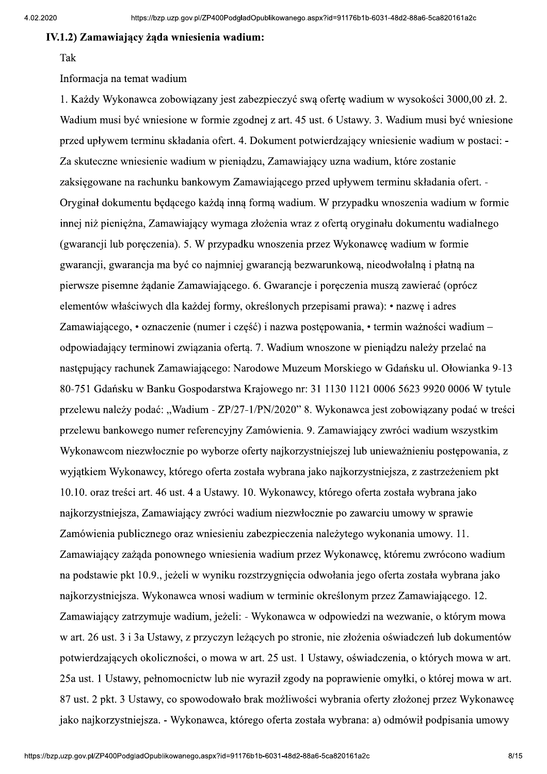#### IV.1.2) Zamawiający żada wniesienia wadium:

#### Tak

Informacja na temat wadium

1. Każdy Wykonawca zobowiazany jest zabezpieczyć swa oferte wadium w wysokości 3000,00 zł. 2. Wadium musi być wniesione w formie zgodnej z art. 45 ust. 6 Ustawy. 3. Wadium musi być wniesione przed upływem terminu składania ofert. 4. Dokument potwierdzający wniesienie wadium w postaci: -Za skuteczne wniesienie wadium w pieniądzu, Zamawiający uzna wadium, które zostanie zaksięgowane na rachunku bankowym Zamawiającego przed upływem terminu składania ofert. -Oryginał dokumentu będącego każdą inną formą wadium. W przypadku wnoszenia wadium w formie innej niż pieniężna, Zamawiający wymaga złożenia wraz z ofertą oryginału dokumentu wadialnego (gwarancji lub poręczenia). 5. W przypadku wnoszenia przez Wykonawcę wadium w formie gwarancji, gwarancja ma być co najmniej gwarancją bezwarunkową, nieodwołalną i płatną na pierwsze pisemne żądanie Zamawiającego. 6. Gwarancje i poręczenia muszą zawierać (oprócz elementów właściwych dla każdej formy, określonych przepisami prawa): • nazwę i adres Zamawiającego, • oznaczenie (numer i część) i nazwa postępowania, • termin ważności wadium – odpowiadający terminowi związania oferta. 7. Wadium wnoszone w pieniadzu należy przelać na nastepujący rachunek Zamawiającego: Narodowe Muzeum Morskiego w Gdańsku ul. Ołowianka 9-13 80-751 Gdańsku w Banku Gospodarstwa Krajowego nr: 31 1130 1121 0006 5623 9920 0006 W tytule przelewu należy podać: "Wadium - ZP/27-1/PN/2020" 8. Wykonawca jest zobowiazany podać w treści przelewu bankowego numer referencyjny Zamówienia. 9. Zamawiający zwróci wadium wszystkim Wykonawcom niezwłocznie po wyborze oferty najkorzystniejszej lub unieważnieniu postępowania, z wyjątkiem Wykonawcy, którego oferta została wybrana jako najkorzystniejsza, z zastrzeżeniem pkt 10.10. oraz treści art. 46 ust. 4 a Ustawy. 10. Wykonawcy, którego oferta została wybrana jako najkorzystniejsza, Zamawiający zwróci wadium niezwłocznie po zawarciu umowy w sprawie Zamówienia publicznego oraz wniesieniu zabezpieczenia należytego wykonania umowy. 11. Zamawiający zażąda ponownego wniesienia wadium przez Wykonawcę, któremu zwrócono wadium na podstawie pkt 10.9., jeżeli w wyniku rozstrzygnięcia odwołania jego oferta została wybrana jako najkorzystniejsza. Wykonawca wnosi wadium w terminie określonym przez Zamawiającego. 12. Zamawiający zatrzymuje wadium, jeżeli: - Wykonawca w odpowiedzi na wezwanie, o którym mowa w art. 26 ust. 3 i 3a Ustawy, z przyczyn leżących po stronie, nie złożenia oświadczeń lub dokumentów potwierdzających okoliczności, o mowa w art. 25 ust. 1 Ustawy, oświadczenia, o których mowa w art. 25a ust. 1 Ustawy, pełnomocnictw lub nie wyraził zgody na poprawienie omyłki, o której mowa w art. 87 ust. 2 pkt. 3 Ustawy, co spowodowało brak możliwości wybrania oferty złożonej przez Wykonawcę jako najkorzystniejsza. - Wykonawca, którego oferta została wybrana: a) odmówił podpisania umowy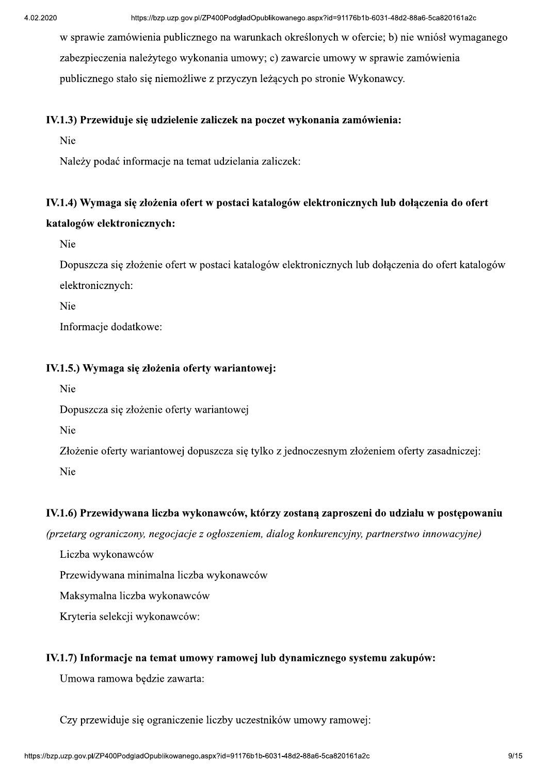<sup>https://bzp.uzp.gov.pl/ZP400PodgladOpublikowanego.aspx?id=91176b1b-6031-48d2-88a6-5ca820161a2c<br>w sprawie zamówienia publicznego na warunkach określonych w ofercie; b) nie wniósł wymaganego<br>zabezpieczenia należytego wykona</sup>

# IV.1.4) Wymaga się złożenia ofert w postaci katalogów elektronicznych lub dołączenia do ofert katalogów elektronicznych: Naleyy pockic informacje na temat udviedania zaliczek:<br>
IV.1.4) Wymaga się złożenia ofert w postaci katalogów elektronicznych lub dołączenia do ofert<br>
katalogów elektronicznych:<br>
Ve<br>
Doposzcza się złożenia ofert w postaci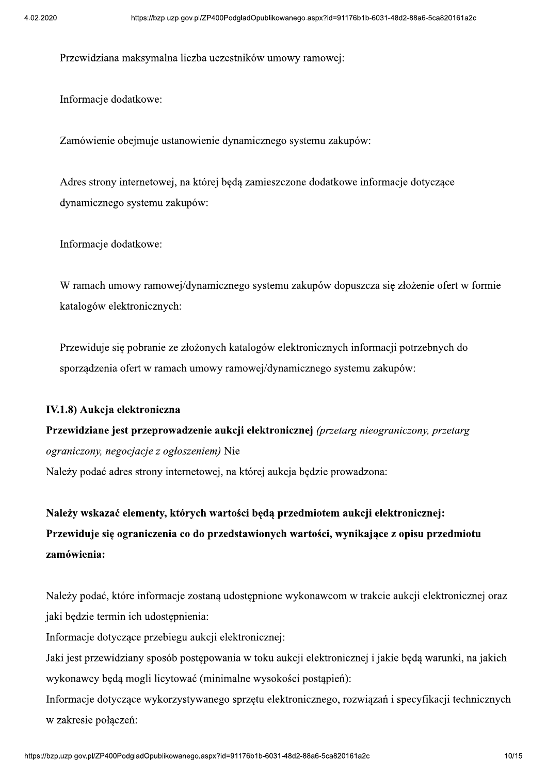Przewidziana maksymalna liczba uczestników umowy ramowej:

Informacje dodatkowe:

Zamówienie obejmuje ustanowienie dynamicznego systemu zakupów:

Adres strony internetowej, na której będą zamieszczone dodatkowe informacje dotyczące dynamicznego systemu zakupów:

Informacje dodatkowe:

W ramach umowy ramowej/dynamicznego systemu zakupów dopuszcza się złożenie ofert w formie katalogów elektronicznych:

Przewiduje się pobranie ze złożonych katalogów elektronicznych informacji potrzebnych do sporządzenia ofert w ramach umowy ramowej/dynamicznego systemu zakupów:

#### IV.1.8) Aukcja elektroniczna

Przewidziane jest przeprowadzenie aukcji elektronicznej (przetarg nieograniczony, przetarg *ograniczony, negocjacje z ogłoszeniem*) Nie Należy podać adres strony internetowej, na której aukcja będzie prowadzona:

Należy wskazać elementy, których wartości będą przedmiotem aukcji elektronicznej: Przewiduje się ograniczenia co do przedstawionych wartości, wynikające z opisu przedmiotu zamówienia:

Należy podać, które informacje zostaną udostępnione wykonawcom w trakcie aukcji elektronicznej oraz jaki będzie termin ich udostępnienia:

Informacje dotyczące przebiegu aukcji elektronicznej:

Jaki jest przewidziany sposób postępowania w toku aukcji elektronicznej i jakie będą warunki, na jakich wykonawcy będą mogli licytować (minimalne wysokości postąpień):

Informacje dotyczące wykorzystywanego sprzętu elektronicznego, rozwiązań i specyfikacji technicznych w zakresie połączeń: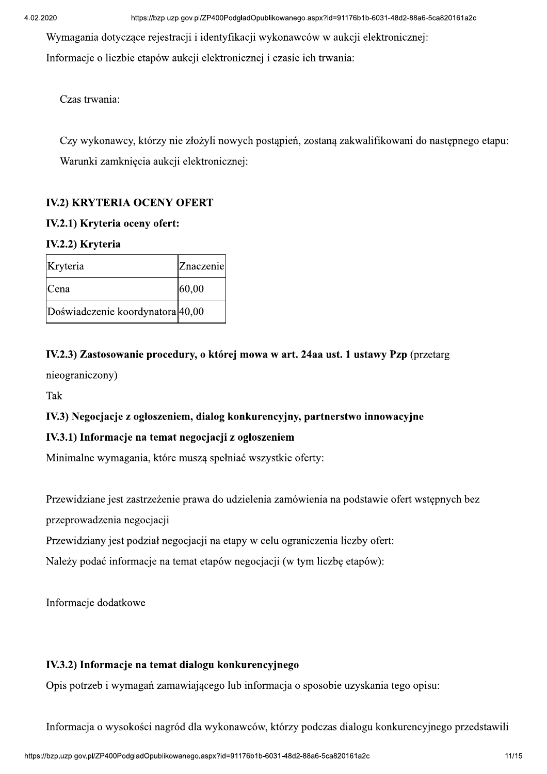Wymagania dotyczące rejestracji i identyfikacji wykonawców w aukcji elektronicznej: Informacje o liczbie etapów aukcji elektronicznej i czasie ich trwania:

Czas trwania:

Czy wykonawcy, którzy nie złożyli nowych postąpień, zostaną zakwalifikowani do następnego etapu: Warunki zamknięcia aukcji elektronicznej:

## **IV.2) KRYTERIA OCENY OFERT**

#### IV.2.1) Kryteria oceny ofert:

#### IV.2.2) Kryteria

| Kryteria                         | Znaczenie |
|----------------------------------|-----------|
| Cena                             | 60,00     |
| Doświadczenie koordynatora 40,00 |           |

## IV.2.3) Zastosowanie procedury, o której mowa w art. 24aa ust. 1 ustawy Pzp (przetarg

nieograniczony)

Tak

#### IV.3) Negocjacje z ogłoszeniem, dialog konkurencyjny, partnerstwo innowacyjne

#### IV.3.1) Informacje na temat negocjacji z ogłoszeniem

Minimalne wymagania, które muszą spełniać wszystkie oferty:

Przewidziane jest zastrzeżenie prawa do udzielenia zamówienia na podstawie ofert wstępnych bez

przeprowadzenia negocjacji

Przewidziany jest podział negocjacji na etapy w celu ograniczenia liczby ofert:

Należy podać informacje na temat etapów negocjacji (w tym liczbę etapów):

Informacje dodatkowe

#### IV.3.2) Informacje na temat dialogu konkurencyjnego

Opis potrzeb i wymagań zamawiającego lub informacja o sposobie uzyskania tego opisu:

Informacja o wysokości nagród dla wykonawców, którzy podczas dialogu konkurencyjnego przedstawili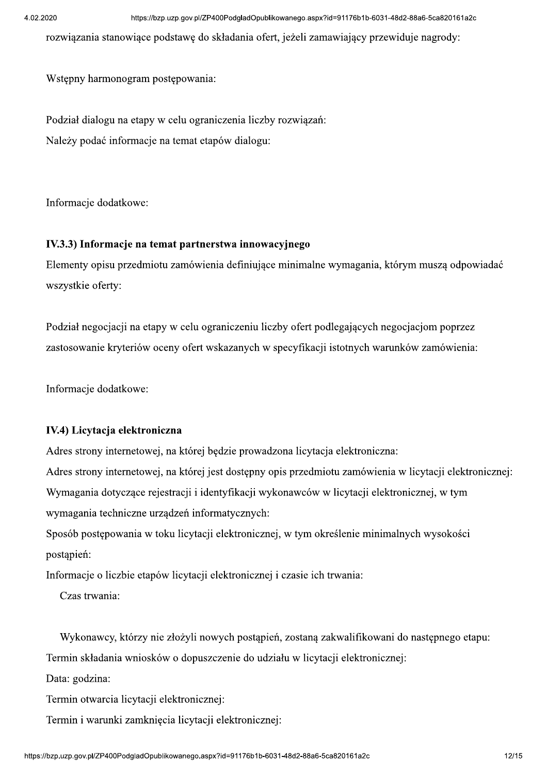rozwiazania stanowiace podstawe do składania ofert, jeżeli zamawiający przewiduje nagrody:

Wstepny harmonogram postepowania:

Podział dialogu na etapy w celu ograniczenia liczby rozwiązań: Należy podać informacje na temat etapów dialogu:

Informacje dodatkowe:

#### IV.3.3) Informacje na temat partnerstwa innowacyjnego

Elementy opisu przedmiotu zamówienia definiujące minimalne wymagania, którym muszą odpowiadać wszystkie oferty:

Podział negocjacji na etapy w celu ograniczeniu liczby ofert podlegających negocjacjom poprzez zastosowanie kryteriów oceny ofert wskazanych w specyfikacji istotnych warunków zamówienia:

Informacje dodatkowe:

#### IV.4) Licytacja elektroniczna

Adres strony internetowej, na której będzie prowadzona licytacja elektroniczna:

Adres strony internetowej, na której jest dostępny opis przedmiotu zamówienia w licytacji elektronicznej: Wymagania dotyczące rejestracji i identyfikacji wykonawców w licytacji elektronicznej, w tym wymagania techniczne urządzeń informatycznych:

Sposób postępowania w toku licytacji elektronicznej, w tym określenie minimalnych wysokości postapień:

Informacje o liczbie etapów licytacji elektronicznej i czasie ich trwania:

Czas trwania:

Wykonawcy, którzy nie złożyli nowych postąpień, zostaną zakwalifikowani do następnego etapu:

Termin składania wniosków o dopuszczenie do udziału w licytacji elektronicznej:

Data: godzina:

Termin otwarcia licytacji elektronicznej:

Termin i warunki zamknięcia licytacji elektronicznej: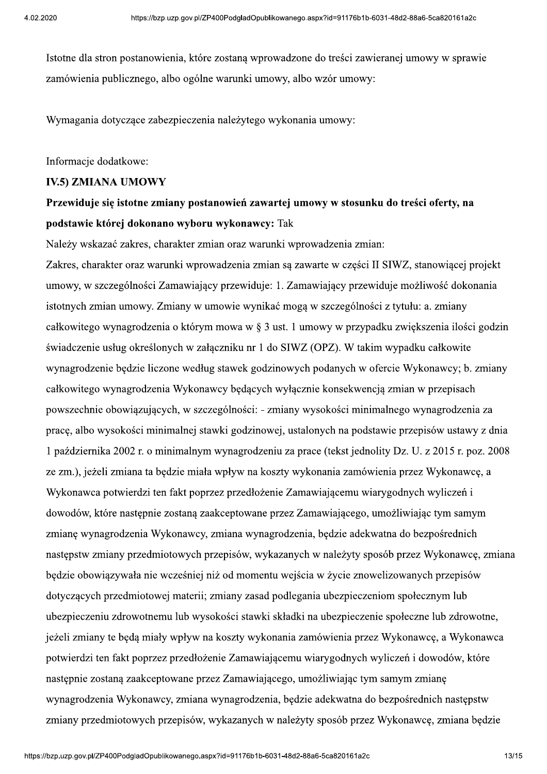Istotne dla stron postanowienia, które zostana wprowadzone do treści zawieranej umowy w sprawie zamówienia publicznego, albo ogólne warunki umowy, albo wzór umowy:

Wymagania dotyczące zabezpieczenia należytego wykonania umowy:

Informacje dodatkowe:

#### **IV.5) ZMIANA UMOWY**

## Przewiduje się istotne zmiany postanowień zawartej umowy w stosunku do treści oferty, na podstawie której dokonano wyboru wykonawcy: Tak

Należy wskazać zakres, charakter zmian oraz warunki wprowadzenia zmian:

Zakres, charakter oraz warunki wprowadzenia zmian są zawarte w części II SIWZ, stanowiącej projekt umowy, w szczególności Zamawiający przewiduje: 1. Zamawiający przewiduje możliwość dokonania istotnych zmian umowy. Zmiany w umowie wynikać mogą w szczególności z tytułu: a. zmiany całkowitego wynagrodzenia o którym mowa w § 3 ust. 1 umowy w przypadku zwiększenia ilości godzin świadczenie usług określonych w załaczniku nr 1 do SIWZ (OPZ). W takim wypadku całkowite wynagrodzenie bedzie liczone według stawek godzinowych podanych w ofercie Wykonawcy; b. zmiany całkowitego wynagrodzenia Wykonawcy będących wyłącznie konsekwencją zmian w przepisach powszechnie obowiązujących, w szczególności: - zmiany wysokości minimalnego wynagrodzenia za pracę, albo wysokości minimalnej stawki godzinowej, ustalonych na podstawie przepisów ustawy z dnia 1 października 2002 r. o minimalnym wynagrodzeniu za prace (tekst jednolity Dz. U. z 2015 r. poz. 2008 ze zm.), jeżeli zmiana ta będzie miała wpływ na koszty wykonania zamówienia przez Wykonawcę, a Wykonawca potwierdzi ten fakt poprzez przedłożenie Zamawiającemu wiarygodnych wyliczeń i dowodów, które następnie zostaną zaakceptowane przez Zamawiającego, umożliwiając tym samym zmianę wynagrodzenia Wykonawcy, zmiana wynagrodzenia, będzie adekwatna do bezpośrednich następstw zmiany przedmiotowych przepisów, wykazanych w należyty sposób przez Wykonawcę, zmiana będzie obowiązywała nie wcześniej niż od momentu wejścia w życie znowelizowanych przepisów dotyczących przedmiotowej materii; zmiany zasad podlegania ubezpieczeniom społecznym lub ubezpieczeniu zdrowotnemu lub wysokości stawki składki na ubezpieczenie społeczne lub zdrowotne, jeżeli zmiany te będą miały wpływ na koszty wykonania zamówienia przez Wykonawcę, a Wykonawca potwierdzi ten fakt poprzez przedłożenie Zamawiającemu wiarygodnych wyliczeń i dowodów, które następnie zostaną zaakceptowane przez Zamawiającego, umożliwiając tym samym zmianę wynagrodzenia Wykonawcy, zmiana wynagrodzenia, będzie adekwatna do bezpośrednich następstw zmiany przedmiotowych przepisów, wykazanych w należyty sposób przez Wykonawcę, zmiana będzie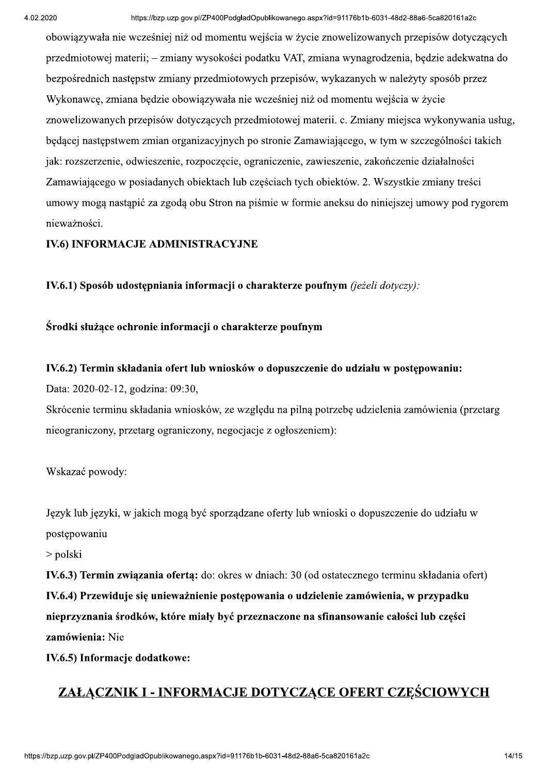obowiązywała nie wcześniej niż od momentu wejścia w życie znowelizowanych przepisów dotyczących przedmiotowej materii; – zmiany wysokości podatku VAT, zmiana wynagrodzenia, będzie adekwatna do bezpośrednich następstw zmiany przedmiotowych przepisów, wykazanych w należyty sposób przez Wykonawce, zmiana będzie obowiązywała nie wcześniej niż od momentu wejścia w życie znowelizowanych przepisów dotyczących przedmiotowej materii. c. Zmiany miejsca wykonywania usług, będącej następstwem zmian organizacyjnych po stronie Zamawiającego, w tym w szczególności takich jak: rozszerzenie, odwieszenie, rozpoczęcie, ograniczenie, zawieszenie, zakończenie działalności Zamawiającego w posiadanych obiektach lub częściach tych obiektów. 2. Wszystkie zmiany treści umowy mogą nastąpić za zgodą obu Stron na piśmie w formie aneksu do niniejszej umowy pod rygorem nieważności.

#### IV.6) INFORMACJE ADMINISTRACYJNE

IV.6.1) Sposób udostępniania informacji o charakterze poufnym (jeżeli dotyczy):

#### Środki służące ochronie informacji o charakterze poufnym

#### IV.6.2) Termin składania ofert lub wniosków o dopuszczenie do udziału w postepowaniu:

Data: 2020-02-12, godzina: 09:30,

Skrócenie terminu składania wniosków, ze wzgledu na pilna potrzebe udzielenia zamówienia (przetarg nieograniczony, przetarg ograniczony, negocjacje z ogłoszeniem):

#### Wskazać powody:

Język lub języki, w jakich mogą być sporządzane oferty lub wnioski o dopuszczenie do udziału w postępowaniu

 $>$  polski

IV.6.3) Termin związania ofertą: do: okres w dniach: 30 (od ostatecznego terminu składania ofert) IV.6.4) Przewiduje się unieważnienie postępowania o udzielenie zamówienia, w przypadku nieprzyznania środków, które miały być przeznaczone na sfinansowanie całości lub części zamówienia: Nie

IV.6.5) Informacje dodatkowe:

# ZAŁĄCZNIK I - INFORMACJE DOTYCZĄCE OFERT CZEŚCIOWYCH